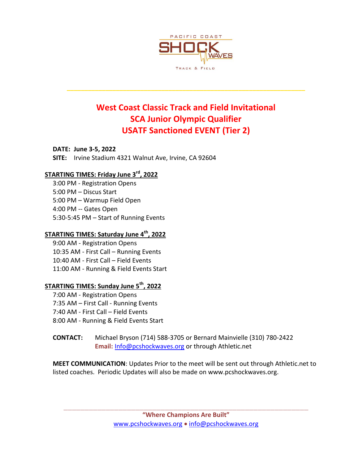

# **West Coast Classic Track and Field Invitational SCA Junior Olympic Qualifier USATF Sanctioned EVENT (Tier 2)**

**\_\_\_\_\_\_\_\_\_\_\_\_\_\_\_\_\_\_\_\_\_\_\_\_\_\_\_\_\_\_\_\_\_\_\_\_\_\_\_\_\_\_\_\_\_\_\_\_\_\_\_\_\_\_\_\_\_\_\_\_\_\_\_\_\_\_\_\_**

**DATE: June 3-5, 2022 SITE:** Irvine Stadium 4321 Walnut Ave, Irvine, CA 92604

## **STARTING TIMES: Friday June 3rd, 2022**

3:00 PM - Registration Opens 5:00 PM – Discus Start 5:00 PM – Warmup Field Open 4:00 PM -- Gates Open 5:30-5:45 PM – Start of Running Events

# **STARTING TIMES: Saturday June 4th, 2022**

9:00 AM - Registration Opens 10:35 AM - First Call – Running Events 10:40 AM - First Call – Field Events 11:00 AM - Running & Field Events Start

## **STARTING TIMES: Sunday June 5th, 2022**

7:00 AM - Registration Opens 7:35 AM – First Call - Running Events 7:40 AM - First Call – Field Events 8:00 AM - Running & Field Events Start

**CONTACT:** Michael Bryson (714) 588-3705 or Bernard Mainvielle (310) 780-2422 **Email:** [Info@pcshockwaves.org](mailto:Info@pcshockwaves.org) or through Athletic.net

**MEET COMMUNICATION**: Updates Prior to the meet will be sent out through Athletic.net to listed coaches. Periodic Updates will also be made on www.pcshockwaves.org.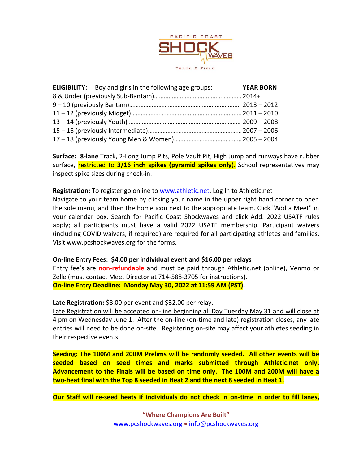

| <b>ELIGIBILITY:</b> Boy and girls in the following age groups: | <b>YEAR BORN</b> |
|----------------------------------------------------------------|------------------|
|                                                                |                  |
|                                                                |                  |
|                                                                |                  |
|                                                                |                  |
|                                                                |                  |
|                                                                |                  |

**Surface: 8-lane** Track, 2-Long Jump Pits, Pole Vault Pit, High Jump and runways have rubber surface, restricted to **3/16 inch spikes (pyramid spikes only**). School representatives may inspect spike sizes during check-in.

#### **Registration:** To register go online to [www.athletic.net.](http://www.athletic.net/) Log In to Athletic.net

Navigate to your team home by clicking your name in the upper right hand corner to open the side menu, and then the home icon next to the appropriate team. Click "Add a Meet" in your calendar box. Search for Pacific Coast Shockwaves and click Add. 2022 USATF rules apply; all participants must have a valid 2022 USATF membership. Participant waivers (including COVID waivers, if required) are required for all participating athletes and families. Visit www.pcshockwaves.org for the forms.

### **On-line Entry Fees: \$4.00 per individual event and \$16.00 per relays**

Entry fee's are **non-refundable** and must be paid through Athletic.net (online), Venmo or Zelle (must contact Meet Director at 714-588-3705 for instructions). **On-line Entry Deadline: Monday May 30, 2022 at 11:59 AM (PST).** 

Late Registration: \$8.00 per event and \$32.00 per relay.

Late Registration will be accepted on-line beginning all Day Tuesday May 31 and will close at 4 pm on Wednesday June 1. After the on-line (on-time and late) registration closes, any late entries will need to be done on-site. Registering on-site may affect your athletes seeding in their respective events.

**Seeding: The 100M and 200M Prelims will be randomly seeded. All other events will be seeded based on seed times and marks submitted through Athletic.net only. Advancement to the Finals will be based on time only. The 100M and 200M will have a two-heat final with the Top 8 seeded in Heat 2 and the next 8 seeded in Heat 1.** 

**Our Staff will re-seed heats if individuals do not check in on-time in order to fill lanes,**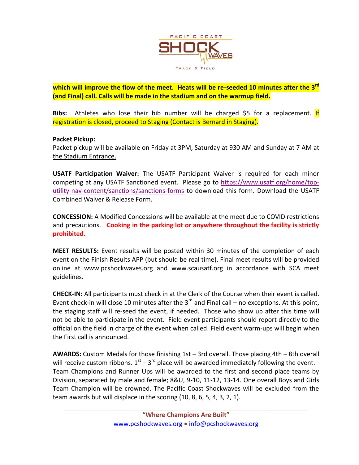

**which will improve the flow of the meet. Heats will be re-seeded 10 minutes after the 3rd (and Final) call. Calls will be made in the stadium and on the warmup field.**

**Bibs:** Athletes who lose their bib number will be charged \$5 for a replacement. If registration is closed, proceed to Staging (Contact is Bernard in Staging).

### **Packet Pickup:**

Packet pickup will be available on Friday at 3PM, Saturday at 930 AM and Sunday at 7 AM at the Stadium Entrance.

**USATF Participation Waiver:** The USATF Participant Waiver is required for each minor competing at any USATF Sanctioned event. Please go to [https://www.usatf.org/home/top](https://www.usatf.org/home/top-utility-nav-content/sanctions/sanctions-forms)[utility-nav-content/sanctions/sanctions-forms](https://www.usatf.org/home/top-utility-nav-content/sanctions/sanctions-forms) to download this form. Download the USATF Combined Waiver & Release Form.

**CONCESSION:** A Modified Concessions will be available at the meet due to COVID restrictions and precautions. **Cooking in the parking lot or anywhere throughout the facility is strictly prohibited.**

**MEET RESULTS:** Event results will be posted within 30 minutes of the completion of each event on the Finish Results APP (but should be real time). Final meet results will be provided online at www.pcshockwaves.org and www.scausatf.org in accordance with SCA meet guidelines.

**CHECK-IN:** All participants must check in at the Clerk of the Course when their event is called. Event check-in will close 10 minutes after the  $3^{rd}$  and Final call – no exceptions. At this point, the staging staff will re-seed the event, if needed. Those who show up after this time will not be able to participate in the event. Field event participants should report directly to the official on the field in charge of the event when called. Field event warm-ups will begin when the First call is announced.

**AWARDS:** Custom Medals for those finishing 1st – 3rd overall. Those placing 4th – 8th overall will receive custom ribbons.  $1<sup>st</sup> - 3<sup>rd</sup>$  place will be awarded immediately following the event. Team Champions and Runner Ups will be awarded to the first and second place teams by Division, separated by male and female; 8&U, 9-10, 11-12, 13-14. One overall Boys and Girls Team Champion will be crowned. The Pacific Coast Shockwaves will be excluded from the team awards but will displace in the scoring (10, 8, 6, 5, 4, 3, 2, 1).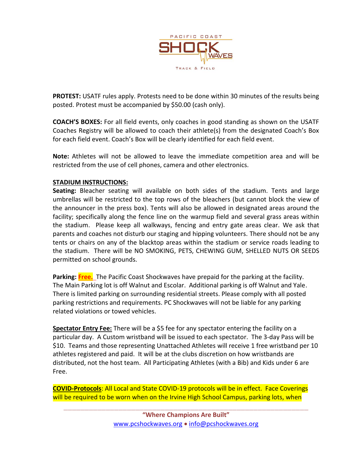

**PROTEST:** USATF rules apply. Protests need to be done within 30 minutes of the results being posted. Protest must be accompanied by \$50.00 (cash only).

**COACH'S BOXES:** For all field events, only coaches in good standing as shown on the USATF Coaches Registry will be allowed to coach their athlete(s) from the designated Coach's Box for each field event. Coach's Box will be clearly identified for each field event.

**Note:** Athletes will not be allowed to leave the immediate competition area and will be restricted from the use of cell phones, camera and other electronics.

## **STADIUM INSTRUCTIONS:**

**Seating:** Bleacher seating will available on both sides of the stadium. Tents and large umbrellas will be restricted to the top rows of the bleachers (but cannot block the view of the announcer in the press box). Tents will also be allowed in designated areas around the facility; specifically along the fence line on the warmup field and several grass areas within the stadium. Please keep all walkways, fencing and entry gate areas clear. We ask that parents and coaches not disturb our staging and hipping volunteers. There should not be any tents or chairs on any of the blacktop areas within the stadium or service roads leading to the stadium. There will be NO SMOKING, PETS, CHEWING GUM, SHELLED NUTS OR SEEDS permitted on school grounds.

**Parking: Free.** The Pacific Coast Shockwaves have prepaid for the parking at the facility. The Main Parking lot is off Walnut and Escolar. Additional parking is off Walnut and Yale. There is limited parking on surrounding residential streets. Please comply with all posted parking restrictions and requirements. PC Shockwaves will not be liable for any parking related violations or towed vehicles.

**Spectator Entry Fee:** There will be a \$5 fee for any spectator entering the facility on a particular day. A Custom wristband will be issued to each spectator. The 3-day Pass will be \$10. Teams and those representing Unattached Athletes will receive 1 free wristband per 10 athletes registered and paid. It will be at the clubs discretion on how wristbands are distributed, not the host team. All Participating Athletes (with a Bib) and Kids under 6 are Free.

**COVID-Protocols**: All Local and State COVID-19 protocols will be in effect. Face Coverings will be required to be worn when on the Irvine High School Campus, parking lots, when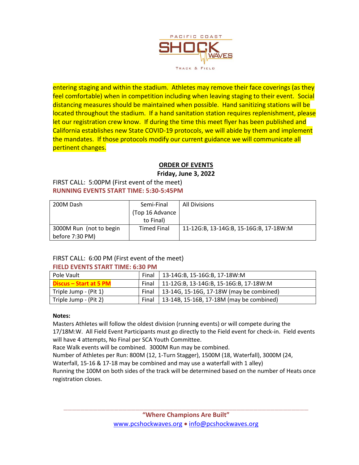

entering staging and within the stadium. Athletes may remove their face coverings (as they feel comfortable) when in competition including when leaving staging to their event. Social distancing measures should be maintained when possible. Hand sanitizing stations will be located throughout the stadium. If a hand sanitation station requires replenishment, please let our registration crew know. If during the time this meet flyer has been published and California establishes new State COVID-19 protocols, we will abide by them and implement the mandates. If those protocols modify our current guidance we will communicate all pertinent changes.

## **ORDER OF EVENTS**

**Friday, June 3, 2022**

#### FIRST CALL: 5:00PM (First event of the meet) **RUNNING EVENTS START TIME: 5:30-5:45PM**

| 200M Dash               | Semi-Final         | <b>All Divisions</b>                   |
|-------------------------|--------------------|----------------------------------------|
|                         | (Top 16 Advance    |                                        |
|                         | to Final)          |                                        |
| 3000M Run (not to begin | <b>Timed Final</b> | 11-12G:B, 13-14G:B, 15-16G:B, 17-18W:M |
| before 7:30 PM)         |                    |                                        |

# FIRST CALL: 6:00 PM (First event of the meet)

### **FIELD EVENTS START TIME: 6:30 PM**

| Pole Vault             | Final | 13-14G:B, 15-16G:B, 17-18W:M              |
|------------------------|-------|-------------------------------------------|
| Discus – Start at 5 PM | Final | 11-12G:B, 13-14G:B, 15-16G:B, 17-18W:M    |
| Triple Jump - (Pit 1)  | Final | 13-14G, 15-16G, 17-18W (may be combined)  |
| Triple Jump - (Pit 2)  | Final | [13-14B, 15-16B, 17-18M (may be combined) |

### **Notes:**

Masters Athletes will follow the oldest division (running events) or will compete during the 17/18M:W. All Field Event Participants must go directly to the Field event for check-in. Field events

will have 4 attempts, No Final per SCA Youth Committee.

Race Walk events will be combined. 3000M Run may be combined.

Number of Athletes per Run: 800M (12, 1-Turn Stagger), 1500M (18, Waterfall), 3000M (24,

Waterfall, 15-16 & 17-18 may be combined and may use a waterfall with 1 alley)

Running the 100M on both sides of the track will be determined based on the number of Heats once registration closes.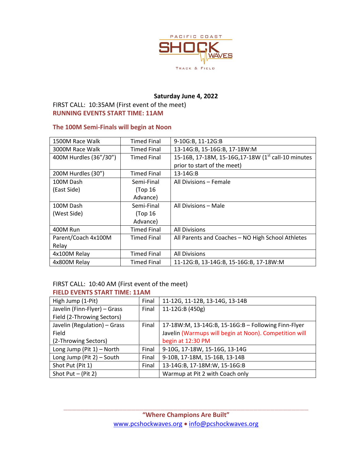

## **Saturday June 4, 2022**

## FIRST CALL: 10:35AM (First event of the meet) **RUNNING EVENTS START TIME: 11AM**

### **The 100M Semi-Finals will begin at Noon**

| 1500M Race Walk        | <b>Timed Final</b> | 9-10G:B, 11-12G:B                                   |
|------------------------|--------------------|-----------------------------------------------------|
| 3000M Race Walk        | <b>Timed Final</b> | 13-14G:B, 15-16G:B, 17-18W:M                        |
| 400M Hurdles (36"/30") | <b>Timed Final</b> | 15-16B, 17-18M, 15-16G, 17-18W (1st call-10 minutes |
|                        |                    | prior to start of the meet)                         |
| 200M Hurdles (30")     | <b>Timed Final</b> | 13-14G:B                                            |
| 100M Dash              | Semi-Final         | All Divisions - Female                              |
| (East Side)            | (Top 16            |                                                     |
|                        | Advance)           |                                                     |
| 100M Dash              | Semi-Final         | All Divisions - Male                                |
| (West Side)            | (Top 16            |                                                     |
|                        | Advance)           |                                                     |
| 400M Run               | <b>Timed Final</b> | <b>All Divisions</b>                                |
| Parent/Coach 4x100M    | <b>Timed Final</b> | All Parents and Coaches - NO High School Athletes   |
| Relay                  |                    |                                                     |
| 4x100M Relay           | <b>Timed Final</b> | <b>All Divisions</b>                                |
| 4x800M Relay           | <b>Timed Final</b> | 11-12G:B, 13-14G:B, 15-16G:B, 17-18W:M              |

#### FIRST CALL: 10:40 AM (First event of the meet) **FIELD EVENTS START TIME: 11AM**

| High Jump (1-Pit)            | Final | 11-12G, 11-12B, 13-14G, 13-14B                         |
|------------------------------|-------|--------------------------------------------------------|
| Javelin (Finn-Flyer) - Grass | Final | 11-12G:B (450g)                                        |
| Field (2-Throwing Sectors)   |       |                                                        |
| Javelin (Regulation) - Grass | Final | 17-18W:M, 13-14G:B, 15-16G:B - Following Finn-Flyer    |
| Field                        |       | Javelin (Warmups will begin at Noon). Competition will |
| (2-Throwing Sectors)         |       | begin at 12:30 PM                                      |
| Long Jump (Pit $1$ ) – North | Final | 9-10G, 17-18W, 15-16G, 13-14G                          |
| Long Jump (Pit 2) - South    | Final | 9-10B, 17-18M, 15-16B, 13-14B                          |
| Shot Put (Pit 1)             | Final | 13-14G:B, 17-18M:W, 15-16G:B                           |
| Shot Put $-$ (Pit 2)         |       | Warmup at Pit 2 with Coach only                        |